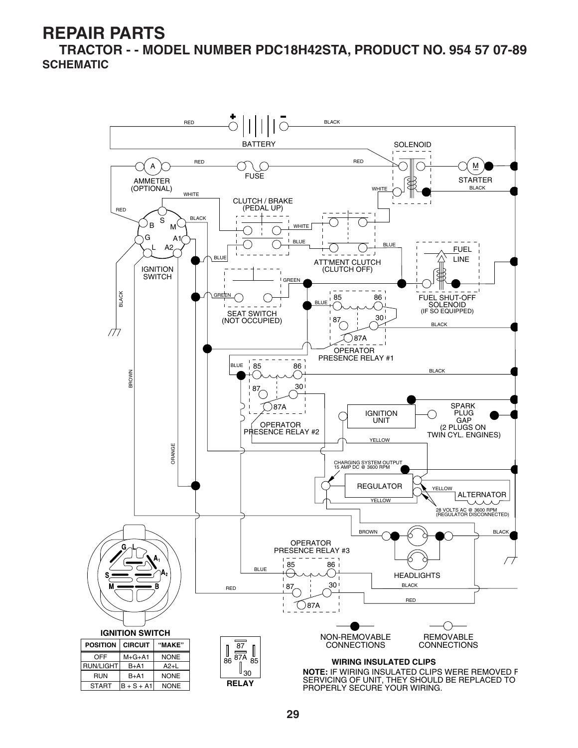**TRACTOR - - MODEL NUMBER PDC18H42STA, PRODUCT NO. 954 57 07-89 SCHEMATIC**

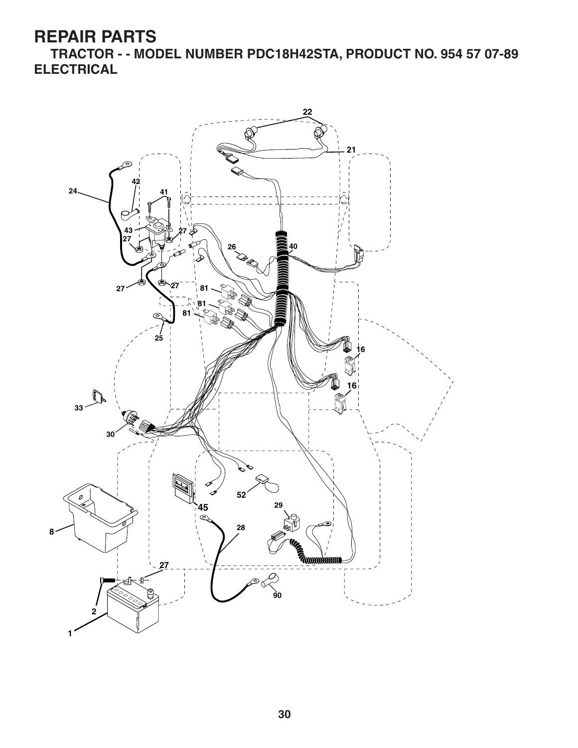**TRACTOR - - MODEL NUMBER PDC18H42STA, PRODUCT NO. 954 57 07-89 ELECTRICAL**

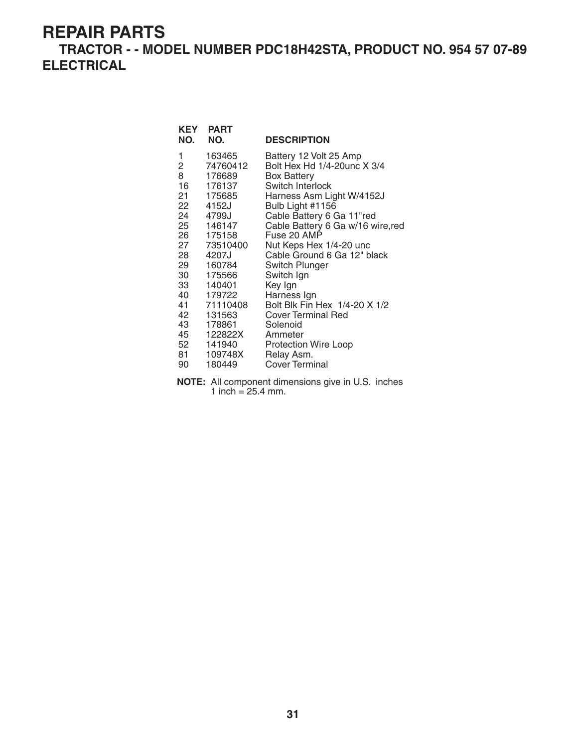**TRACTOR - - MODEL NUMBER PDC18H42STA, PRODUCT NO. 954 57 07-89 ELECTRICAL**

| <b>KEY</b><br>NO.                                                                                             | <b>PART</b><br>NO.                                                                                                                                                                                                                     | <b>DESCRIPTION</b>                                                                                                                                                                                                                                                                                                                                                                                                                                                                                        |
|---------------------------------------------------------------------------------------------------------------|----------------------------------------------------------------------------------------------------------------------------------------------------------------------------------------------------------------------------------------|-----------------------------------------------------------------------------------------------------------------------------------------------------------------------------------------------------------------------------------------------------------------------------------------------------------------------------------------------------------------------------------------------------------------------------------------------------------------------------------------------------------|
| 1<br>2<br>8<br>16<br>21<br>22<br>24<br>27<br>28<br>29<br>30<br>33<br>41<br>42<br>43<br>45<br>52<br>81 —<br>90 | 163465<br>74760412<br>176689<br>176137<br>175685<br>4152J<br>4799J<br>25 146147<br>26 175158<br>73510400<br>4207J<br>160784<br>175566<br>140401<br>40 179722<br>71110408<br>131563<br>178861<br>122822X<br>141940<br>109748X<br>180449 | Battery 12 Volt 25 Amp<br>Bolt Hex Hd 1/4-20unc X 3/4<br><b>Box Battery</b><br>Switch Interlock<br>Harness Asm Light W/4152J<br>Bulb Light #1156<br>Cable Battery 6 Ga 11"red<br>Cable Battery 6 Ga w/16 wire, red<br>Fuse 20 AMP<br>Nut Keps Hex 1/4-20 unc<br>Cable Ground 6 Ga 12" black<br><b>Switch Plunger</b><br>Switch Ign<br>Key Ign<br>Harness Ign<br>Bolt Blk Fin Hex 1/4-20 X 1/2<br><b>Cover Terminal Red</b><br>Solenoid<br>Ammeter<br>Protection Wire Loop<br>Relay Asm.<br>Cover Terminal |

**NOTE:** All component dimensions give in U.S. inches 1 inch =  $25.4$  mm.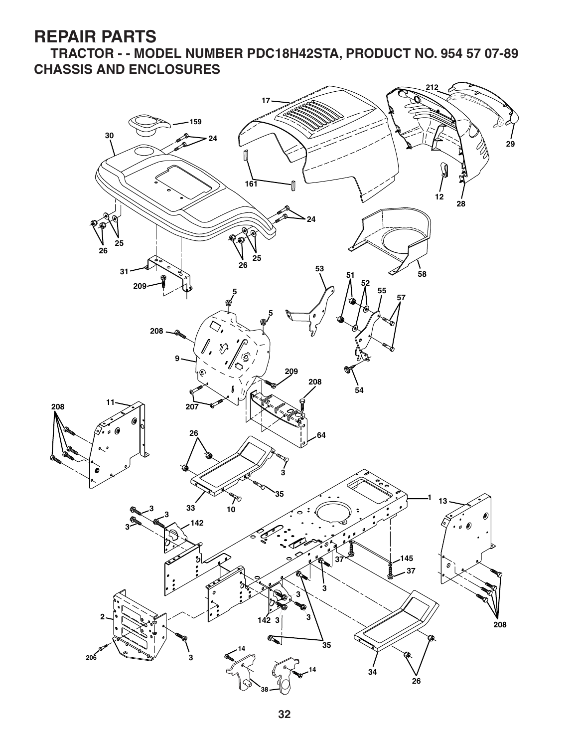**TRACTOR - - MODEL NUMBER PDC18H42STA, PRODUCT NO. 954 57 07-89 CHASSIS AND ENCLOSURES**

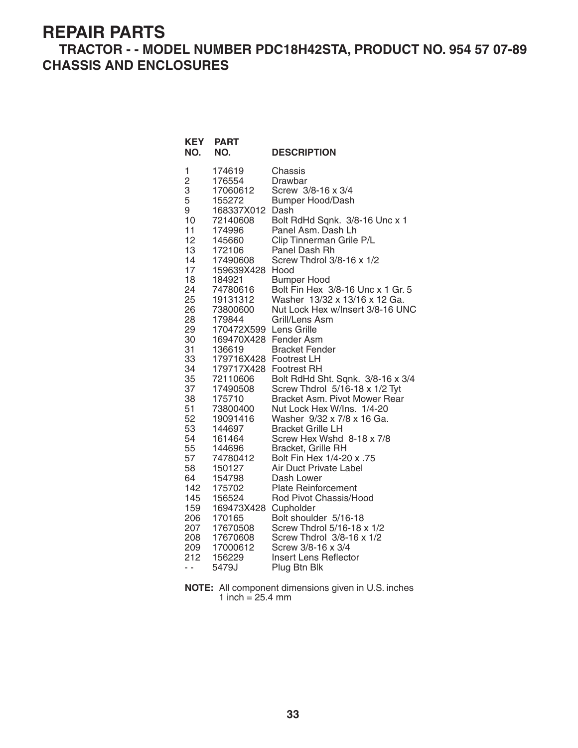#### **TRACTOR - - MODEL NUMBER PDC18H42STA, PRODUCT NO. 954 57 07-89 CHASSIS AND ENCLOSURES**

| <b>KEY</b><br>NO.                                                                                                                                                                                                                                                             | <b>PART</b><br>NO.                                                                                                                                                                                                                                                                                                                                                                                                                                                                                               | <b>DESCRIPTION</b>                                                                                                                                                                                                                                                                                                                                                                                                                                                                                                                                                                                                                                                                                                                                                                                                                                                                                                                                                     |
|-------------------------------------------------------------------------------------------------------------------------------------------------------------------------------------------------------------------------------------------------------------------------------|------------------------------------------------------------------------------------------------------------------------------------------------------------------------------------------------------------------------------------------------------------------------------------------------------------------------------------------------------------------------------------------------------------------------------------------------------------------------------------------------------------------|------------------------------------------------------------------------------------------------------------------------------------------------------------------------------------------------------------------------------------------------------------------------------------------------------------------------------------------------------------------------------------------------------------------------------------------------------------------------------------------------------------------------------------------------------------------------------------------------------------------------------------------------------------------------------------------------------------------------------------------------------------------------------------------------------------------------------------------------------------------------------------------------------------------------------------------------------------------------|
| 1<br>$\overline{c}$<br>3<br>5<br>9<br>10<br>11<br>12<br>13<br>14<br>17<br>18<br>24<br>25<br>26<br>28<br>29<br>30<br>31<br>33<br>34<br>35<br>37<br>38<br>51<br>52<br>53<br>54<br>55<br>57<br>58<br>64<br>142<br>145<br>159<br>206<br>207<br>208<br>209<br>212<br>$\sim$ $\sim$ | 174619<br>176554<br>17060612<br>155272<br>168337X012<br>72140608<br>174996<br>145660<br>172106<br>17490608<br>159639X428<br>184921<br>74780616<br>19131312<br>73800600<br>179844<br>170472X599<br>169470X428 Fender Asm<br>136619<br>179716X428 Footrest LH<br>179717X428 Footrest RH<br>72110606<br>17490508<br>175710<br>73800400<br>19091416<br>144697<br>161464<br>144696<br>74780412<br>150127<br>154798<br>175702<br>156524<br>169473X428<br>170165<br>17670508<br>17670608<br>17000612<br>156229<br>5479J | Chassis<br>Drawbar<br>Screw 3/8-16 x 3/4<br><b>Bumper Hood/Dash</b><br>Dash<br>Bolt RdHd Sqnk. 3/8-16 Unc x 1<br>Panel Asm. Dash Lh<br>Clip Tinnerman Grile P/L<br>Panel Dash Rh<br>Screw Thdrol 3/8-16 x 1/2<br>Hood<br><b>Bumper Hood</b><br>Bolt Fin Hex 3/8-16 Unc x 1 Gr. 5<br>Washer 13/32 x 13/16 x 12 Ga.<br>Nut Lock Hex w/Insert 3/8-16 UNC<br>Grill/Lens Asm<br>Lens Grille<br><b>Bracket Fender</b><br>Bolt RdHd Sht. Sqnk. 3/8-16 x 3/4<br>Screw Thdrol 5/16-18 x 1/2 Tyt<br>Bracket Asm. Pivot Mower Rear<br>Nut Lock Hex W/Ins. 1/4-20<br>Washer 9/32 x 7/8 x 16 Ga.<br><b>Bracket Grille LH</b><br>Screw Hex Wshd 8-18 x 7/8<br>Bracket, Grille RH<br>57. Bolt Fin Hex 1/4-20 x<br>Air Duct Private Label<br>Dash Lower<br><b>Plate Reinforcement</b><br>Rod Pivot Chassis/Hood<br>Cupholder<br>Bolt shoulder 5/16-18<br>Screw Thdrol 5/16-18 x 1/2<br>Screw Thdrol 3/8-16 x 1/2<br>Screw 3/8-16 x 3/4<br><b>Insert Lens Reflector</b><br>Plug Btn Blk |

**NOTE:** All component dimensions given in U.S. inches 1 inch = 25.4 mm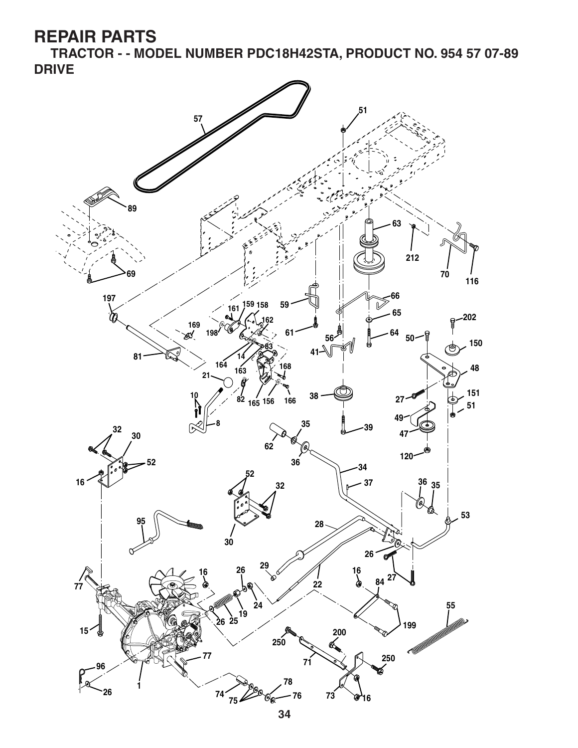**TRACTOR - - MODEL NUMBER PDC18H42STA, PRODUCT NO. 954 57 07-89 DRIVE**

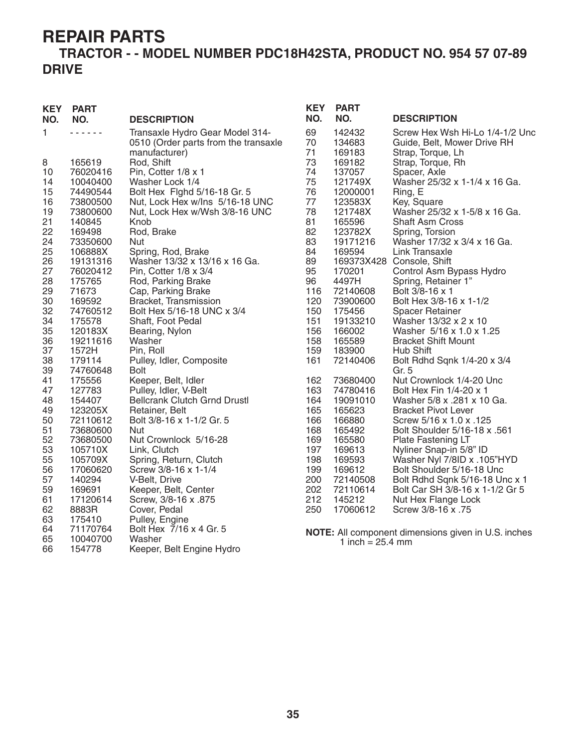#### **TRACTOR - - MODEL NUMBER PDC18H42STA, PRODUCT NO. 954 57 07-89 DRIVE**

| <b>KEY</b><br>NO. | <b>PART</b><br>NO. | <b>DESCRIPTION</b>                                                                       | <b>KEY</b><br>NO. | <b>PART</b><br>NO.         | <b>DESCRIPTION</b>                                                                  |
|-------------------|--------------------|------------------------------------------------------------------------------------------|-------------------|----------------------------|-------------------------------------------------------------------------------------|
| 1                 |                    | Transaxle Hydro Gear Model 314-<br>0510 (Order parts from the transaxle<br>manufacturer) | 69<br>70<br>71    | 142432<br>134683<br>169183 | Screw Hex Wsh Hi-Lo 1/4-1/2 Unc<br>Guide, Belt, Mower Drive RH<br>Strap, Torque, Lh |
| 8                 | 165619             | Rod, Shift                                                                               | 73                | 169182                     | Strap, Torque, Rh                                                                   |
| 10                | 76020416           | Pin, Cotter 1/8 x 1                                                                      | 74                | 137057                     | Spacer, Axle                                                                        |
| 14                | 10040400           | Washer Lock 1/4                                                                          | 75                | 121749X                    | Washer 25/32 x 1-1/4 x 16 Ga.                                                       |
| 15                | 74490544           | Bolt Hex Fighd 5/16-18 Gr. 5                                                             | 76                | 12000001                   | Ring, E                                                                             |
| 16                | 73800500           | Nut, Lock Hex w/Ins 5/16-18 UNC                                                          | 77                | 123583X                    | Key, Square                                                                         |
| 19                | 73800600           | Nut, Lock Hex w/Wsh 3/8-16 UNC                                                           | 78                | 121748X                    | Washer 25/32 x 1-5/8 x 16 Ga.                                                       |
| 21                | 140845             | Knob                                                                                     | 81                | 165596                     | <b>Shaft Asm Cross</b>                                                              |
| 22                | 169498             | Rod, Brake                                                                               | 82                | 123782X                    | Spring, Torsion                                                                     |
| 24                | 73350600           | Nut                                                                                      | 83                | 19171216                   | Washer 17/32 x 3/4 x 16 Ga.                                                         |
| 25                | 106888X            | Spring, Rod, Brake                                                                       | 84                | 169594                     | Link Transaxle                                                                      |
| 26                | 19131316           | Washer 13/32 x 13/16 x 16 Ga.                                                            | 89                |                            | 169373X428 Console, Shift                                                           |
| 27                | 76020412           | Pin, Cotter 1/8 x 3/4                                                                    | 95                | 170201                     | Control Asm Bypass Hydro                                                            |
| 28                | 175765             | Rod, Parking Brake                                                                       | 96                | 4497H                      | Spring, Retainer 1"                                                                 |
| 29<br>30          | 71673<br>169592    | Cap, Parking Brake                                                                       | 116<br>120        | 72140608<br>73900600       | Bolt 3/8-16 x 1<br>Bolt Hex 3/8-16 x 1-1/2                                          |
| 32                | 74760512           | Bracket, Transmission<br>Bolt Hex 5/16-18 UNC x 3/4                                      | 150               | 175456                     | <b>Spacer Retainer</b>                                                              |
| 34                | 175578             | Shaft, Foot Pedal                                                                        | 151               | 19133210                   | Washer 13/32 x 2 x 10                                                               |
| 35                | 120183X            | Bearing, Nylon                                                                           | 156               | 166002                     | Washer 5/16 x 1.0 x 1.25                                                            |
| 36                | 19211616           | Washer                                                                                   | 158               | 165589                     | <b>Bracket Shift Mount</b>                                                          |
| 37                | 1572H              | Pin, Roll                                                                                | 159               | 183900                     | Hub Shift                                                                           |
| 38                | 179114             | Pulley, Idler, Composite                                                                 | 161               | 72140406                   | Bolt Rdhd Sqnk 1/4-20 x 3/4                                                         |
| 39                | 74760648           | <b>Bolt</b>                                                                              |                   |                            | Gr. 5                                                                               |
| 41                | 175556             | Keeper, Belt, Idler                                                                      | 162               | 73680400                   | Nut Crownlock 1/4-20 Unc                                                            |
| 47                | 127783             | Pulley, Idler, V-Belt                                                                    | 163               | 74780416                   | Bolt Hex Fin 1/4-20 x 1                                                             |
| 48                | 154407             | <b>Bellcrank Clutch Grnd Drustl</b>                                                      | 164               | 19091010                   | Washer 5/8 x .281 x 10 Ga.                                                          |
| 49                | 123205X            | Retainer, Belt                                                                           | 165               | 165623                     | <b>Bracket Pivot Lever</b>                                                          |
| 50                | 72110612           | Bolt 3/8-16 x 1-1/2 Gr. 5                                                                | 166               | 166880                     | Screw 5/16 x 1.0 x .125                                                             |
| 51                | 73680600           | <b>Nut</b>                                                                               | 168               | 165492                     | Bolt Shoulder 5/16-18 x .561                                                        |
| 52                | 73680500           | Nut Crownlock 5/16-28                                                                    | 169               | 165580                     | Plate Fastening LT                                                                  |
| 53                | 105710X            | Link, Clutch                                                                             | 197               | 169613                     | Nyliner Snap-in 5/8" ID                                                             |
| 55                | 105709X            | Spring, Return, Clutch                                                                   | 198               | 169593                     | Washer Nyl 7/8ID x .105"HYD                                                         |
| 56                | 17060620           | Screw 3/8-16 x 1-1/4                                                                     | 199               | 169612                     | Bolt Shoulder 5/16-18 Unc                                                           |
| 57                | 140294             | V-Belt, Drive                                                                            | 200               | 72140508                   | Bolt Rdhd Sqnk 5/16-18 Unc x 1                                                      |
| 59                | 169691             | Keeper, Belt, Center                                                                     | 202               | 72110614                   | Bolt Car SH 3/8-16 x 1-1/2 Gr 5                                                     |
| 61                | 17120614           | Screw, 3/8-16 x .875                                                                     | 212               | 145212                     | Nut Hex Flange Lock                                                                 |
| 62                | 8883R              | Cover, Pedal                                                                             | 250               | 17060612                   | Screw 3/8-16 x .75                                                                  |
| 63                | 175410             | Pulley, Engine                                                                           |                   |                            |                                                                                     |
| 64                | 71170764           | Bolt Hex 7/16 x 4 Gr. 5                                                                  |                   |                            | NOTE: All component dimensions given in U.S. inches                                 |
| 65                | 10040700           | Washer                                                                                   |                   | 1 inch = $25.4$ mm         |                                                                                     |
| 66                | 154778             | Keeper, Belt Engine Hydro                                                                |                   |                            |                                                                                     |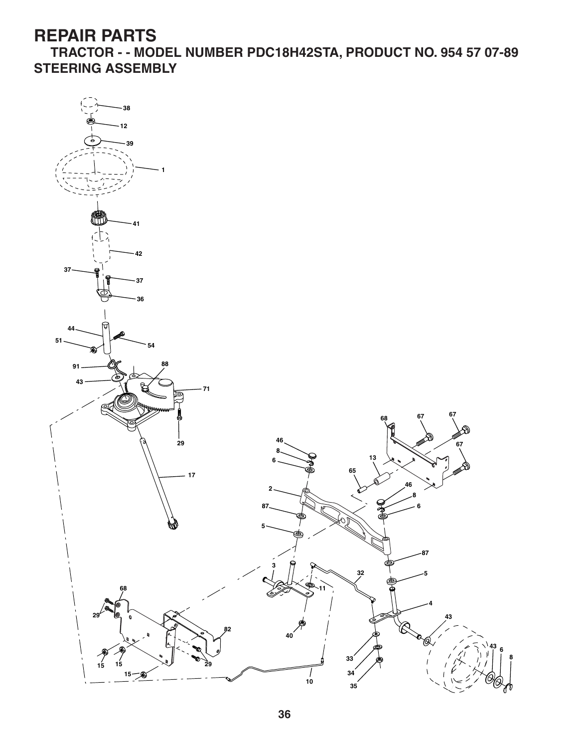**TRACTOR - - MODEL NUMBER PDC18H42STA, PRODUCT NO. 954 57 07-89 STEERING ASSEMBLY**

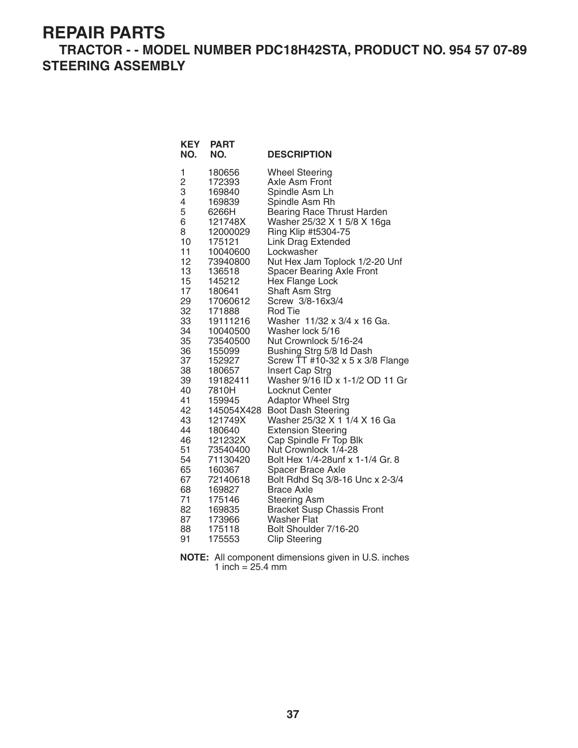#### **TRACTOR - - MODEL NUMBER PDC18H42STA, PRODUCT NO. 954 57 07-89 STEERING ASSEMBLY**

**KEY PART** 

| NO.                                                                                                                                                                                                                       | NO.                                                                                                                                                                                                                                                                                                                                                                                                                 | <b>DESCRIPTION</b>                                                                                                                                                                                                                                                                                                                                                                                                                                                                                                                                                                                                                                                                                                                                                                                                                                                                                                                                                                             |
|---------------------------------------------------------------------------------------------------------------------------------------------------------------------------------------------------------------------------|---------------------------------------------------------------------------------------------------------------------------------------------------------------------------------------------------------------------------------------------------------------------------------------------------------------------------------------------------------------------------------------------------------------------|------------------------------------------------------------------------------------------------------------------------------------------------------------------------------------------------------------------------------------------------------------------------------------------------------------------------------------------------------------------------------------------------------------------------------------------------------------------------------------------------------------------------------------------------------------------------------------------------------------------------------------------------------------------------------------------------------------------------------------------------------------------------------------------------------------------------------------------------------------------------------------------------------------------------------------------------------------------------------------------------|
| 1<br>2<br>3<br>4<br>5<br>6<br>8<br>10<br>11<br>12<br>13<br>15<br>17<br>29<br>32<br>33<br>34<br>35<br>36<br>37<br>38<br>39<br>40<br>41<br>42<br>43<br>44<br>46<br>51<br>54<br>65<br>67<br>68<br>71<br>82<br>87<br>88<br>91 | 180656<br>172393<br>169840<br>169839<br>6266H<br>121748X<br>12000029<br>175121<br>10040600<br>73940800<br>136518<br>145212<br>180641<br>17060612<br>171888<br>19111216<br>10040500<br>73540500<br>155099<br>152927<br>180657<br>19182411<br>7810H<br>159945<br>145054X428<br>121749X<br>180640<br>121232X<br>73540400<br>71130420<br>160367<br>72140618<br>169827<br>175146<br>169835<br>173966<br>175118<br>175553 | <b>Wheel Steering</b><br>Axle Asm Front<br>Spindle Asm Lh<br>Spindle Asm Rh<br>Bearing Race Thrust Harden<br>Washer 25/32 X 1 5/8 X 16ga<br>Ring Klip #t5304-75<br><b>Link Drag Extended</b><br>Lockwasher<br>Nut Hex Jam Toplock 1/2-20 Unf<br><b>Spacer Bearing Axle Front</b><br>Hex Flange Lock<br>Shaft Asm Strg<br>Screw 3/8-16x3/4<br><b>Rod Tie</b><br>Washer 11/32 x 3/4 x 16 Ga.<br>Washer lock 5/16<br>Nut Crownlock 5/16-24<br>Bushing Strg 5/8 ld Dash<br>Screw TT #10-32 x 5 x 3/8 Flange<br>Insert Cap Strg<br>Washer 9/16 ID x 1-1/2 OD 11 Gr<br>Locknut Center<br><b>Adaptor Wheel Strg</b><br>Boot Dash Steering<br>Washer 25/32 X 1 1/4 X 16 Ga<br><b>Extension Steering</b><br>Cap Spindle Fr Top Blk<br>Nut Crownlock 1/4-28<br>Bolt Hex 1/4-28unf x 1-1/4 Gr. 8<br>Spacer Brace Axle<br>Bolt Rdhd Sq 3/8-16 Unc x 2-3/4<br><b>Brace Axle</b><br><b>Steering Asm</b><br><b>Bracket Susp Chassis Front</b><br>Washer Flat<br>Bolt Shoulder 7/16-20<br><b>Clip Steering</b> |

| <b>NOTE:</b> All component dimensions given in U.S. inches |
|------------------------------------------------------------|
| 1 inch = $25.4 \text{ mm}$                                 |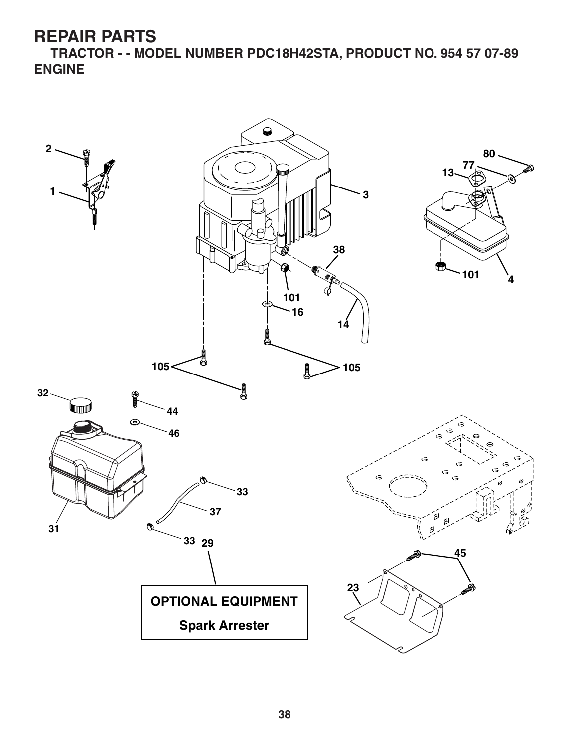**TRACTOR - - MODEL NUMBER PDC18H42STA, PRODUCT NO. 954 57 07-89 ENGINE**

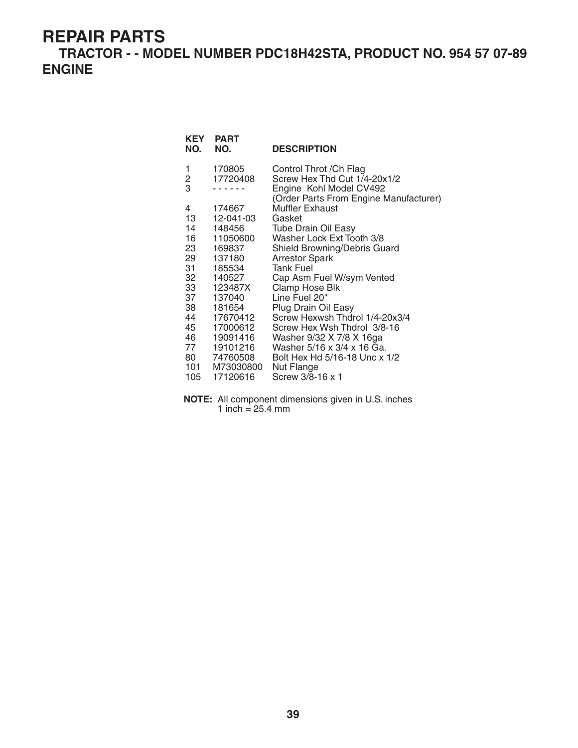**TRACTOR - - MODEL NUMBER PDC18H42STA, PRODUCT NO. 954 57 07-89 ENGINE**

| <b>PART</b>  | <b>DESCRIPTION</b>                                                                                                                                               |
|--------------|------------------------------------------------------------------------------------------------------------------------------------------------------------------|
| 170805       | Control Throt / Ch Flag                                                                                                                                          |
| 17720408     | Screw Hex Thd Cut 1/4-20x1/2                                                                                                                                     |
|              | Engine Kohl Model CV492<br>(Order Parts From Engine Manufacturer)                                                                                                |
| 174667       | <b>Muffler Exhaust</b>                                                                                                                                           |
| 12-041-03    |                                                                                                                                                                  |
| 148456       | Tube Drain Oil Easy                                                                                                                                              |
| 16  11050600 | Washer Lock Ext Tooth 3/8                                                                                                                                        |
| 169837       | Shield Browning/Debris Guard                                                                                                                                     |
| 137180       | <b>Arrestor Spark</b>                                                                                                                                            |
| 185534       |                                                                                                                                                                  |
| 140527       | Cap Asm Fuel W/sym Vented                                                                                                                                        |
|              | Clamp Hose Blk                                                                                                                                                   |
| 137040       |                                                                                                                                                                  |
| 181654       | Plug Drain Oil Easy                                                                                                                                              |
|              | Screw Hexwsh Thdrol 1/4-20x3/4                                                                                                                                   |
|              | Screw Hex Wsh Thdrol 3/8-16                                                                                                                                      |
|              | Washer 9/32 X 7/8 X 16ga                                                                                                                                         |
|              | Washer 5/16 x 3/4 x 16 Ga.                                                                                                                                       |
|              | Bolt Hex Hd 5/16-18 Unc x 1/2                                                                                                                                    |
|              |                                                                                                                                                                  |
|              | Screw 3/8-16 x 1                                                                                                                                                 |
|              | Gasket<br><b>Tank Fuel</b><br>123487X<br>Line Fuel 20"<br>17670412<br>17000612<br>19091416<br>19101216<br>80 74760508<br>101 M73030800<br>Nut Flange<br>17120616 |

**NOTE:** All component dimensions given in U.S. inches 1 inch =  $25.4 \, \text{mm}$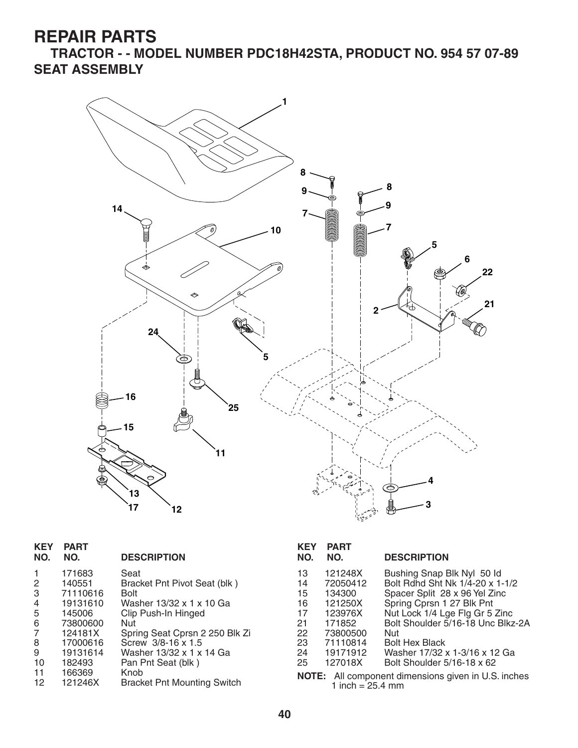**TRACTOR - - MODEL NUMBER PDC18H42STA, PRODUCT NO. 954 57 07-89 SEAT ASSEMBLY**



| <b>KEY</b><br>NO. | <b>PART</b><br>NO. | <b>DESCRIPTION</b>                 | <b>KEY</b><br>NO. | <b>PART</b><br>NO. | <b>DESCRIPTION</b>                                         |
|-------------------|--------------------|------------------------------------|-------------------|--------------------|------------------------------------------------------------|
|                   | 171683             | Seat                               | 13                | 121248X            | Bushing Snap Blk Nyl 50 ld                                 |
| $\overline{2}$    | 140551             | Bracket Pnt Pivot Seat (blk)       | 14                | 72050412           | Bolt Rdhd Sht Nk 1/4-20 x 1-1/2                            |
| 3                 | 71110616           | <b>Bolt</b>                        | 15                | 134300             | Spacer Split 28 x 96 Yel Zinc                              |
| $\overline{4}$    | 19131610           | Washer 13/32 x 1 x 10 Ga           | 16                | 121250X            | Spring Cprsn 1 27 Blk Pnt                                  |
| 5                 | 145006             | Clip Push-In Hinged                | 17                | 123976X            | Nut Lock 1/4 Lge Flg Gr 5 Zinc                             |
| 6                 | 73800600           | Nut                                | 21                | 171852             | Bolt Shoulder 5/16-18 Unc Blkz-2A                          |
| 7                 | 124181X            | Spring Seat Cprsn 2 250 Blk Zi     | 22                | 73800500           | Nut                                                        |
| 8                 | 17000616           | Screw 3/8-16 x 1.5                 | 23                | 71110814           | <b>Bolt Hex Black</b>                                      |
| 9                 | 19131614           | Washer 13/32 x 1 x 14 Ga           | 24                | 19171912           | Washer 17/32 x 1-3/16 x 12 Ga                              |
| 10                | 182493             | Pan Pnt Seat (blk)                 | 25                | 127018X            | Bolt Shoulder 5/16-18 x 62                                 |
| 11                | 166369             | Knob                               |                   |                    | <b>NOTE:</b> All component dimensions given in U.S. inches |
| 12                | 121246X            | <b>Bracket Pnt Mounting Switch</b> |                   | 1 inch = 25.4 mm   |                                                            |

| KEY<br>NO.                                                 | <b>PART</b><br>NO. | <b>DESCRIPTION</b>                |  |  |  |
|------------------------------------------------------------|--------------------|-----------------------------------|--|--|--|
| 13                                                         | 121248X            | Bushing Snap Blk Nyl 50 ld        |  |  |  |
| 14                                                         | 72050412           | Bolt Rdhd Sht Nk 1/4-20 x 1-1/2   |  |  |  |
| 15                                                         | 134300             | Spacer Split 28 x 96 Yel Zinc     |  |  |  |
| 16                                                         | 121250X            | Spring Cprsn 1 27 Blk Pnt         |  |  |  |
| 17                                                         | 123976X            | Nut Lock 1/4 Lge Flg Gr 5 Zinc    |  |  |  |
| 21                                                         | 171852             | Bolt Shoulder 5/16-18 Unc Blkz-2A |  |  |  |
| 22                                                         | 73800500           | Nut                               |  |  |  |
| 23                                                         | 71110814           | <b>Bolt Hex Black</b>             |  |  |  |
| 24                                                         | 19171912           | Washer 17/32 x 1-3/16 x 12 Ga     |  |  |  |
| 25                                                         | 127018X            | Bolt Shoulder 5/16-18 x 62        |  |  |  |
| <b>NOTE:</b> All component dimensions given in U.S. inches |                    |                                   |  |  |  |
|                                                            | 1 inch = $25.4$ mm |                                   |  |  |  |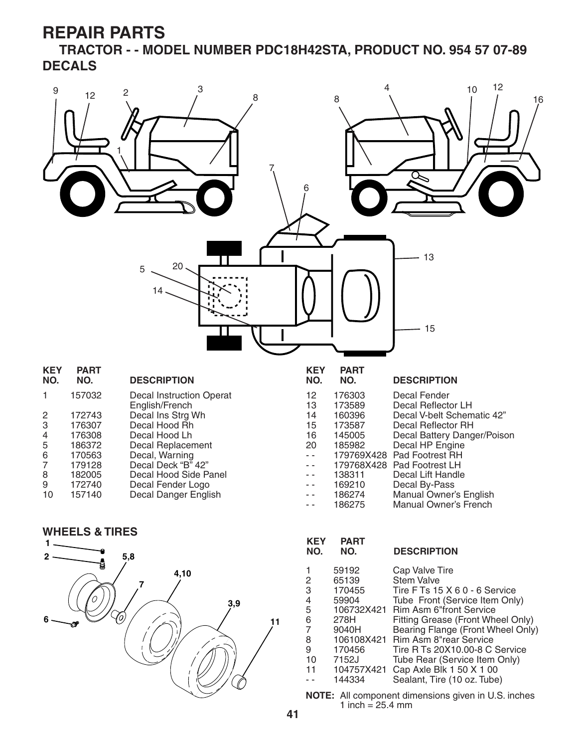**TRACTOR - - MODEL NUMBER PDC18H42STA, PRODUCT NO. 954 57 07-89 DECALS**





| KEY<br>NO.                                                    | <b>PART</b><br>NO.                                                                                              | <b>DESCRIPTION</b>                                                                                                                                                                                                                                                                                                                           |
|---------------------------------------------------------------|-----------------------------------------------------------------------------------------------------------------|----------------------------------------------------------------------------------------------------------------------------------------------------------------------------------------------------------------------------------------------------------------------------------------------------------------------------------------------|
| 2<br>3<br>4<br>5<br>6<br>$\overline{7}$<br>8<br>9<br>10<br>11 | 59192<br>65139<br>170455<br>59904<br>106732X421<br>278H<br>9040H<br>106108X421<br>170456<br>7152J<br>104757X421 | Cap Valve Tire<br><b>Stem Valve</b><br>Tire F Ts 15 X 6 0 - 6 Service<br>Tube Front (Service Item Only)<br><b>Rim Asm 6"front Service</b><br>Fitting Grease (Front Wheel Only)<br>Bearing Flange (Front Wheel Only)<br>Rim Asm 8"rear Service<br>Tire R Ts 20X10.00-8 C Service<br>Tube Rear (Service Item Only)<br>Cap Axle Blk 1 50 X 1 00 |
|                                                               | 144334                                                                                                          | Sealant, Tire (10 oz. Tube)                                                                                                                                                                                                                                                                                                                  |

**NOTE:** All component dimensions given in U.S. inches 1 inch =  $25.4 \, \text{mm}$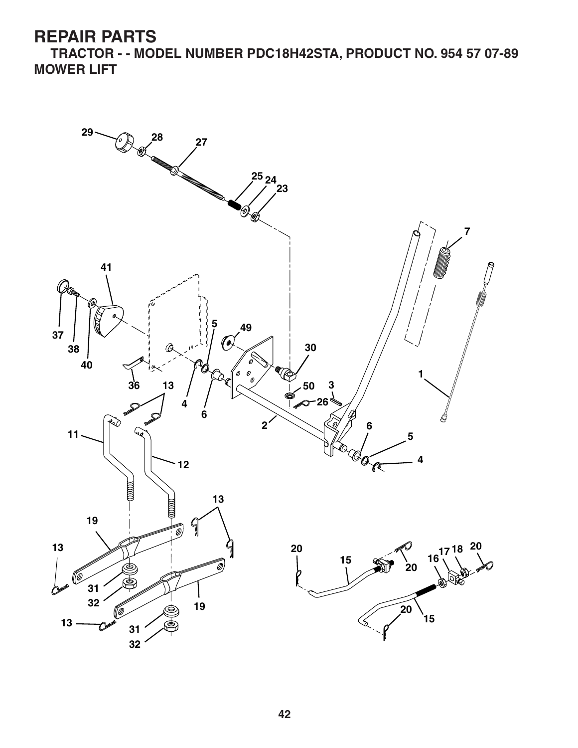**TRACTOR - - MODEL NUMBER PDC18H42STA, PRODUCT NO. 954 57 07-89 MOWER LIFT**

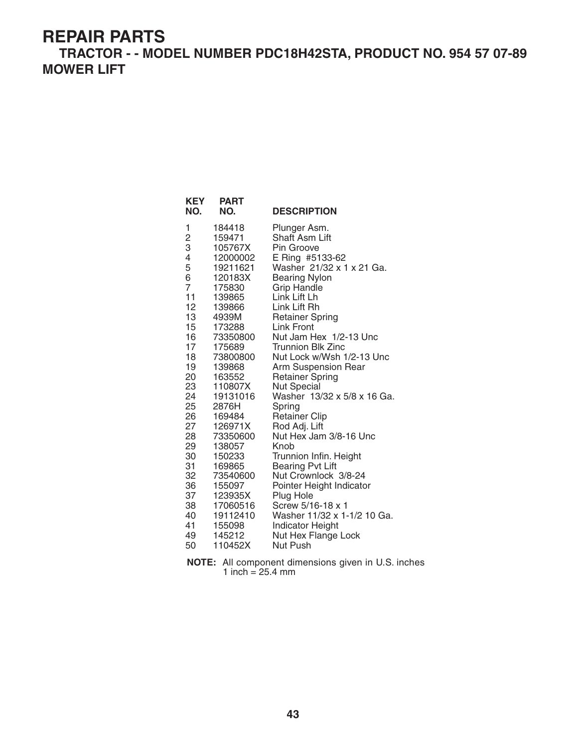**TRACTOR - - MODEL NUMBER PDC18H42STA, PRODUCT NO. 954 57 07-89 MOWER LIFT**

**KEY PART** 

| NO.                                                                                                                                                                                                                                       | NO.                                                                                                                                                                                                                                                                                                                                                          | <b>DESCRIPTION</b>                                                                                                                                                                                                                                                                                                                                                                                                                                                                                                                                                                                                                                                                                                                |
|-------------------------------------------------------------------------------------------------------------------------------------------------------------------------------------------------------------------------------------------|--------------------------------------------------------------------------------------------------------------------------------------------------------------------------------------------------------------------------------------------------------------------------------------------------------------------------------------------------------------|-----------------------------------------------------------------------------------------------------------------------------------------------------------------------------------------------------------------------------------------------------------------------------------------------------------------------------------------------------------------------------------------------------------------------------------------------------------------------------------------------------------------------------------------------------------------------------------------------------------------------------------------------------------------------------------------------------------------------------------|
| 1<br>$\frac{2}{3}$<br>4<br>5<br>6<br>$\overline{7}$<br>11<br>12 <sup>2</sup><br>13<br>15 <sup>2</sup><br>16<br>17<br>18<br>19<br>20<br>23<br>24<br>25<br>26<br>27<br>28<br>29<br>30<br>31<br>32<br>36<br>37<br>38<br>40<br>41<br>49<br>50 | 184418<br>159471<br>105767X<br>12000002<br>19211621<br>120183X<br>175830<br>139865<br>139866<br>4939M<br>173288<br>73350800<br>175689<br>73800800<br>139868<br>163552<br>110807X<br>19131016<br>2876H<br>169484<br>126971X<br>73350600<br>138057<br>150233<br>169865<br>73540600<br>155097<br>123935X<br>17060516<br>19112410<br>155098<br>145212<br>110452X | Plunger Asm.<br>Shaft Asm Lift<br>Pin Groove<br>E Ring #5133-62<br>Washer 21/32 x 1 x 21 Ga.<br><b>Bearing Nylon</b><br><b>Grip Handle</b><br>Link Lift Lh<br>Link Lift Rh<br><b>Retainer Spring</b><br>Link Front<br>Nut Jam Hex 1/2-13 Unc<br><b>Trunnion Blk Zinc</b><br>Nut Lock w/Wsh 1/2-13 Unc<br>Arm Suspension Rear<br><b>Retainer Spring</b><br>Nut Special<br>Washer 13/32 x 5/8 x 16 Ga.<br>Spring<br><b>Retainer Clip</b><br>Rod Adj. Lift<br>Nut Hex Jam 3/8-16 Unc<br>Knob<br>Trunnion Infin. Height<br><b>Bearing Pvt Lift</b><br>Nut Crownlock 3/8-24<br>Pointer Height Indicator<br>Plug Hole<br>Screw 5/16-18 x 1<br>Washer 11/32 x 1-1/2 10 Ga.<br><b>Indicator Height</b><br>Nut Hex Flange Lock<br>Nut Push |

**NOTE:** All component dimensions given in U.S. inches 1 inch =  $25.4 \, \text{mm}$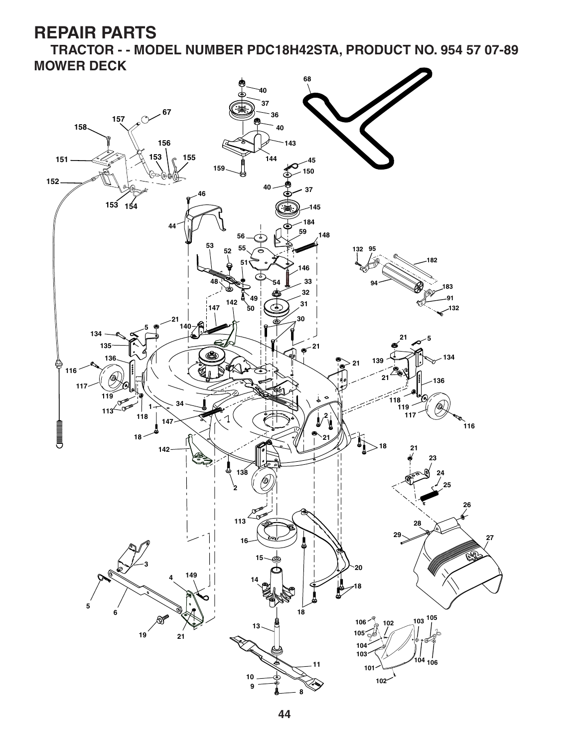**TRACTOR - - MODEL NUMBER PDC18H42STA, PRODUCT NO. 954 57 07-89 MOWER DECK**